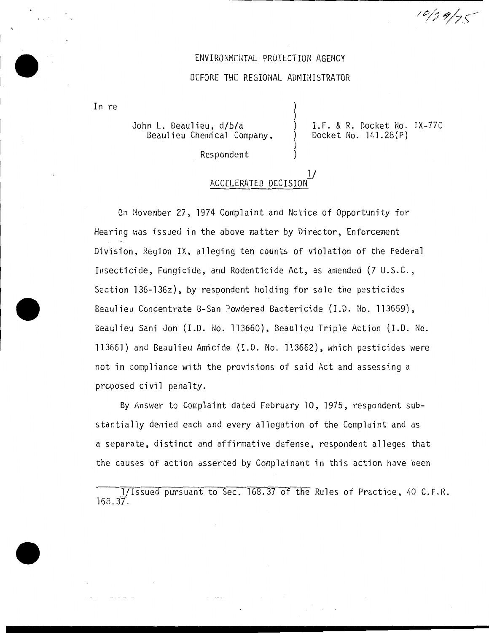## ENVIRONMENTAL PROTECTION AGENCY

## BEFORE THE REGIONAL ADMINISTRATOR

) )

) )

In re

John L. Beaulieu, d/b/a Beaulieu Chemical Company, ) I.F. & R. Docket No. IX-77C ) Docket No. 141.28(P)

 $10/29/75$ 

Respondent

## 1/ ACCELERATED DECISION-

On November 27, 1974 Complaint and Notice of Opportunity for Hearing was issued in the above matter by Director, Enforcement Division, Region IX, alleging ten counts of violation of the Federal Insecticide, Fungicide, and Rodenticide Act, as amended (7 U.S.C., Section 136-136z), by respondent holding for sale the pesticides Beaulieu Concentrate B-San Powdered Bactericide (I.D. No. 113659), Beaulieu Sani Jon (I.D. No. 113660), Beaulieu Triple Action (I.D. No. 113661) and Beaulieu Amicide (I.D. No. 113662), which pesticides were not in compliance with the provisions of said Act and assessing a proposed civil penalty.

By Answer to Complaint dated February 10, 1975, respondent substantially denied each and every allegation of the Complaint and as a separate, distinct and affirmative defense, respondent alleges that the causes of action asserted by Complainant in this action have been

1/Issued pursuant to Sec. 168.37 of the Rules of Practice, 40 C.F.R. 168.37.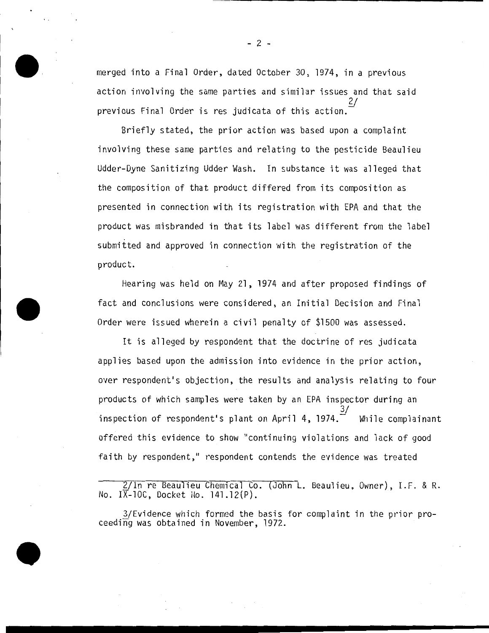merged into a Final Order, dated October 30, 1974, in a previous action involving the same parties and similar issues and that said 2/ previous Final Order is res judicata of this action.

Briefly stated, the prior action was based upon a complaint involving these same parties and relating to the pesticide Beaulieu Udder-Dyne Sanitizing Udder Wash. In substance it was alleged that the composition of that product differed from its composition as presented in connection with its registration with EPA and that the product was misbranded in that its label was different from the label submitted and approved in connection with the registration of the product.

Hearing was held on May 21, 1974 and after proposed findings of fact and conclusions were considered, an Initial Decision and Final Order were issued wherein a civil penalty of \$1500 was assessed.

It is alleged by respondent that the doctrine of res judicata applies based upon the admission into evidence in the prior action, over respondent's objection, the results and analysis relating to four products of which samples were taken by an EPA inspector during an 3/ inspection of respondent's plant on April 4, 1974. $\widetilde{\phantom{a}}$  While complainant offered this evidence to show "continuing violations and lack of good faith by respondent," respondent contends the evidence was treated

2/In re Beaulieu Chemical Co. (John L. Beaulieu, Owner), I.F. & R. No.  $I\overline{X}$ -10C, Docket No. 141.12(P).

3/Evidence which formed the basis for complaint in the prior pro-<br>ceeding was obtained in November, 1972.

- 2 -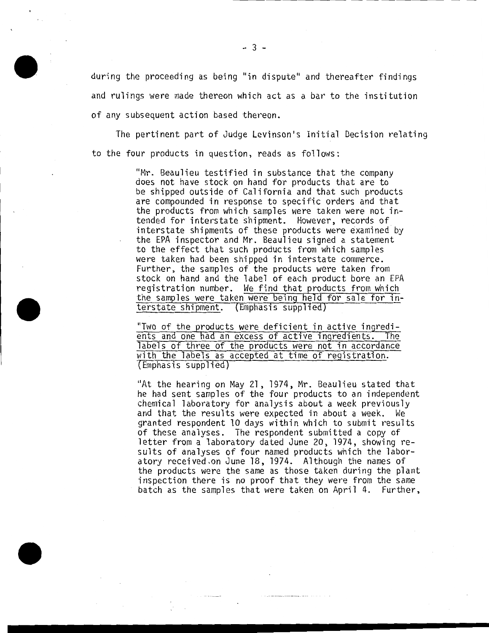during the proceeding as being "in dispute" and thereafter findings and rulings were made thereon which act as a bar to the institution of any subsequent action based thereon.

The pertinent part of Judge Levinson's Initial Decision relating to the four products in question, reads as follows:

> "Mr. Beaulieu testified in substance that the company does not have stock on hand for products that are to be shipped outside of California and that such products are compounded in response to specific orders and that the products from which samples were taken were not intended for interstate shipment. However, records of interstate shipments of these products were examined by the EPA inspector and Mr. Beaulieu signed a statement to the effect that such products from which samples were taken had been shipped in interstate commerce. Further, the samples of the products were taken from stock on hand and the label of each product bore an EPA registration number. We find that products from which the samples were taken were being held for sale for interstate shipment. (Emphasis supplied)

"Two of the products were deficient in active ingredients and one had an excess of active ingredients. The labels of three of the products were not in accordance with the labels as accepted at time of registration. Emphasis supplied

"At the hearing on May 21, 1974, Mr. Beaulieu stated that he had sent samples of the four products to an independent chemical laboratory for analysis about a week previously and that the results were expected in about a week. We granted respondent 10 days within which to submit results of these analyses. The respondent submitted a copy of letter from a laboratory dated June 20, 1974, showing results of analyses of four named products which the laboratory received.on June 18, 1974. Although the names of the products were the same as those taken during the plant inspection there is no proof that they were from the same batch as the samples that were taken on April 4. Further,

- 3 -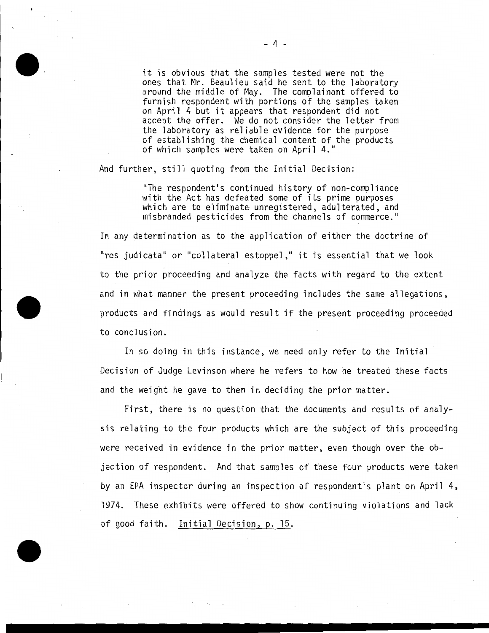it is obvious that the samples tested were not the<br>ones that Mr. Beaulieu said he sent to the laboratory around the middle of May. The complainant offered to furnish respondent with portions of the samples taken on April 4 but it appears that respondent did not accept the offer. We do not consider the letter from the laboratory as reliable evidence for the purpose of establishing the chemical content of the products of which samples were taken on April 4."

And further, still quoting from the Initial Decision:

"The respondent's continued history of non-compliance with the Act has defeated some of its prime purposes which are to eliminate unregistered, adulterated, and misbranded pesticides from the channels of commerce."

In any determination as to the application of either the doctrine of "res judicata" or "collateral estoppel," it is essential that we look to the prior proceeding and analyze the facts with regard to the extent and in what manner the present proceeding includes the same allegations, products and findings as would result if the present proceeding proceeded to conclusion.

In so doing in this instance, we need only refer to the Initial Decision of Judge Levinson where he refers to how he treated these facts and the weight he gave to them in deciding the prior matter.

First, there is no question that the documents and results of analysis relating to the four products which are the subject of this proceeding were received in evidence in the prior matter, even though over the objection of respondent. And that samples of these four products were taken by an EPA inspector during an inspection of respondent's plant on April 4, 1974. These exhibits were offered to show continuing violations and lack of good faith. Initial Decision, p. 15.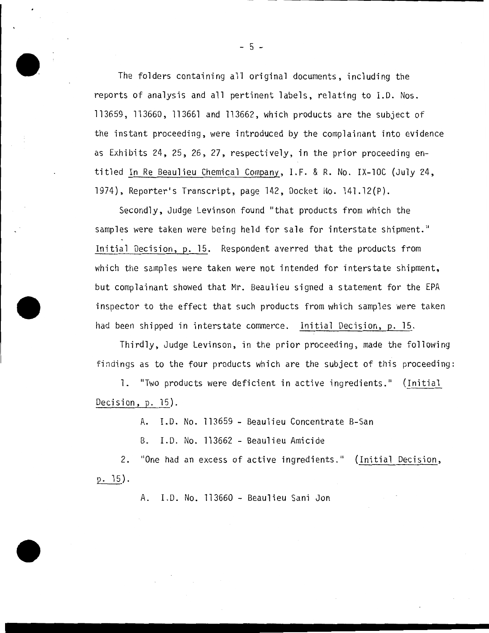The folders containing all original documents, including the reports of analysis and all pertinent labels, relating to I.D. Nos. 113659, 113660, 113661 and 113662, which products are the subject of the instant proceeding, were introduced by the complainant into evidence as Exhibits 24, 25, 26, 27, respectively, in the prior proceeding entitled In Re Beaulieu Chemical Company, I.F. & R. No. IX-lOC (July 24, 1974), Reporter's Transcript, page 142, Docket No. 141.12(P).

Secondly, Judge Levinson found "that products from which the samples were taken were being held for sale for interstate shipment." Initial Decision, p. 15. Respondent averred that the products from which the samples were taken were not intended for interstate shipment, but complainant showed that Mr. Beaulieu signed a statement for the EPA inspector to the effect that such products from which samples were taken had been shipped in interstate commerce. Initial Decision, p. 15.

Thirdly, Judge Levinson, in the prior proceeding, made the following findings as to the four products which are the subject of this proceeding:

1. "Two products were deficient in active ingredients." (Initial Decision, p. 15).

A. I.D. No. 113659 - Beaulieu Concentrate B-San

B. I.D. No. 113662- Beaulieu Amicide

2. "One had an excess of active ingredients." (Initial Decision, p. 15).

A. I.D. No. 113660- Beaulieu Sani Jon

 $-5 -$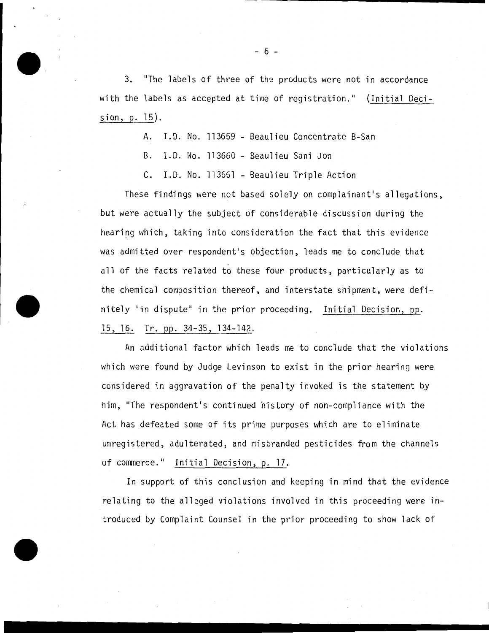3. "The labels of three of the products were not in accordance with the labels as accepted at time of registration." (Initial Decision, p. 15) .

A. I.D. No. 113659 - Beaulieu Concentrate B-San

B. I.D. No. 113660 - Beaulieu Sani Jon

C. I.D. No. 113661 - Beaulieu Triple Action

These findings were not based solely on complainant's allegations, but were actually the subject of considerable discussion during the hearing which, taking into consideration the fact that this evidence was admitted over respondent's objection, leads me to conclude that all of the facts related to these four products, particularly as to the chemical composition thereof, and interstate shipment, were definitely ''in dispute'' in the prior proceeding. Initial Decision, pp. 15, 16. Tr. pp. 34-35, 134-142.

An additional factor which leads me to conclude that the violations which were found by Judge Levinson to exist in the prior hearing were considered in aggravation of the penalty invoked is the statement by him, "The respondent's continued history of non-compliance with the Act has defeated some of its prime purposes which are to eliminate unregistered, adulterated, and misbranded pesticides from the channels of commerce." Initial Decision, p. 17.

In support of this conclusion and keeping in mind that the evidence relating to the alleged violations involved in this proceeding were introduced by Complaint Counsel in the prior proceeding to show lack of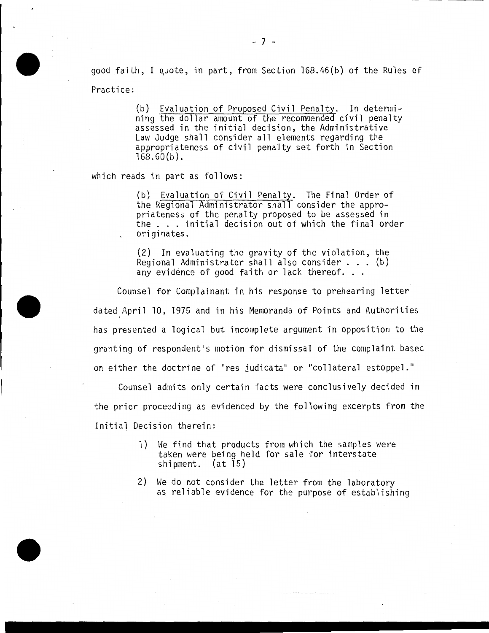good faith, I quote, in part, from Section 168.46(b) of the Rules of Practice:

> (b) Evaluation of Proposed Civil Penalty. In determining the dollar amount of the recommended civil penalty assessed in the initial decision, the Administrative Law Judge shall consider all elements regarding the appropriateness of civil penalty set forth in Section  $168.60(b)$ .

which reads in part as follows:

(b) Evaluation of Civil Penalty. The Final Order of the Regional Administrator shall consider the approond negronal numminous areas in the respective to be assessed in<br>the ... initial decision out of which the final order originates.

(2) In evaluating the gravity of the violation, the Regional Administrator shall also consider ... (b) Regional Administrator shall also consider  $\ldots$  (b)<br>any evidence of good faith or lack thereof. . .

Counsel for Complainant in his response to prehearing letter dated April 10, 1975 and in his Memoranda of Points and Authorities has presented a logical but incomplete argument in opposition to the granting of respondent•s motion for dismissal of the complaint based on either the doctrine of "res judicata" or "collateral estoppel."

Counsel admits only certain facts were conclusively decided in the prior proceeding as evidenced by the following excerpts from the Initial Decision therein:

- 1) We find that products from which the samples were taken were being held for sale for interstate shipment. (at 15)
- 2) We do not consider the letter from the laboratory as reliable evidence for the purpose of establishing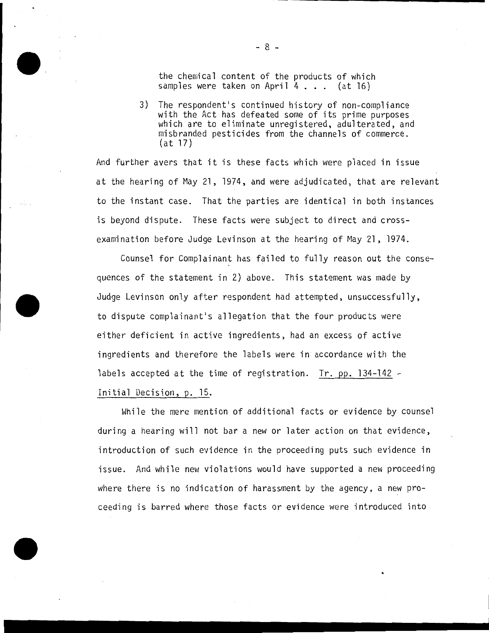the chemical content of the products of which samples were taken on April 4 . . . (at 16)

3) The respondent's continued history of non-compliance with the Act has defeated some of its prime purposes which are to eliminate unregistered, adulterated, and misbranded pesticides from the channels of commerce. (at 17)

And further avers that it is these facts which were placed in issue at the hearing of May 21, 1974, and were adjudicated, that are relevant to the instant case. That the parties are identical in both instances is beyond dispute. These facts were subject to direct and crossexamination before Judge Levinson at the hearing of May 21, 1974.

Counsel for Complainant has failed to fully reason out the consequences of the statement in 2) above. This statement was made by Judge Levinson only after respondent had attempted, unsuccessfully, to dispute complainant's allegation that the four products were either deficient in active ingredients, had an excess of active ingredients and therefore the labels were in accordance with the labels accepted at the time of registration. Tr. pp. 134-142 - Initial Decision, p. 15.

While the mere mention of additional facts or evidence by counsel during a hearing will not bar a new or later action on that evidence, introduction of such evidence in the proceeding puts such evidence in issue. And while new violations would have supported a new proceeding where there is no indication of harassment by the agency, a new proceeding is barred where those facts or evidence were introduced into

- 8 -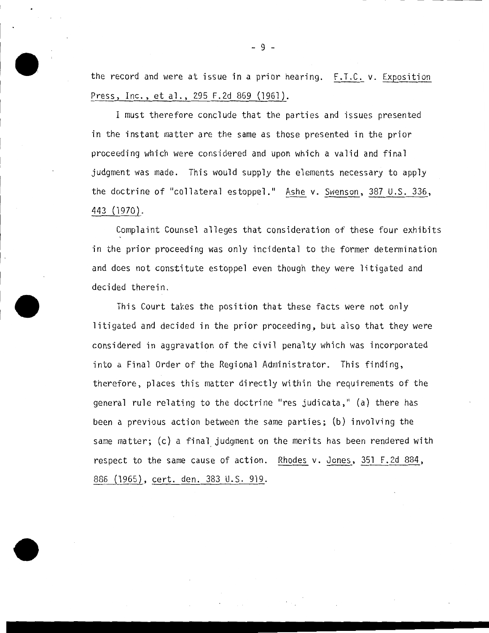the record and were at issue in a prior hearing. F.T.C. v. Exposition Press, Inc., et al., 295 F.2d 869 (1961).

I must therefore conclude that the parties and issues presented in the instant matter are the same as those presented in the prior proceeding which were considered and upon which a valid and final judgment was made. This would supply the elements necessary to apply the doctrine of "collateral estoppel." Ashe v. Swenson, 387 U.S. 336, 443 (1970).

Complaint Counsel alleges that consideration of these four exhibits in the prior proceeding was only incidental to the former determination and does not constitute estoppel even though they were litigated and decided therein.

This Court takes the position that these facts were not only litigated and decided in the prior proceeding, but also that they were considered in aggravation of the civil penalty which was incorporated into a Final Order of the Regional Administrator. This finding, therefore, places this matter directly within the requirements of the general rule relating to the doctrine "res judicata," (a) there has been a previous action between the same parties; (b) involving the same matter; (c) a final judgment on the merits has been rendered with respect to the same cause of action. Rhodes v. Jones, 351 F.2d 884, 886 (1965), cert. den. 383 U.S. 919.